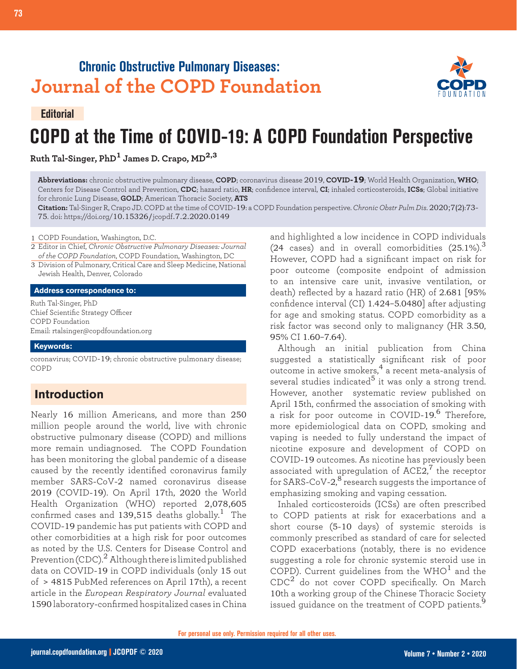## **Chronic Obstructive Pulmonary Diseases: Journal of the COPD Foundation**



#### **Editorial**

# **COPD at the Time of COVID-19: A COPD Foundation Perspective**

**Ruth Tal-Singer, PhD1 James D. Crapo, MD2,3**

**Abbreviations:** chronic obstructive pulmonary disease, **COPD**; coronavirus disease 2019, **COVID-19**; World Health Organization, **WHO**; Centers for Disease Control and Prevention, **CDC**; hazard ratio, **HR**; confidence interval, **CI**; inhaled corticosteroids, **ICSs**; Global initiative for chronic Lung Disease, **GOLD**; American Thoracic Society, **ATS**

**Citation:** Tal-Singer R, Crapo JD. COPD at the time of COVID-19: a COPD Foundation perspective. *Chronic Obstr Pulm Dis*. 2020;7(2):73- 75. doi: https://doi.org/10.15326/jcopdf.7.2.2020.0149

1 COPD Foundation, Washington, D.C.

- Editor in Chief, *Chronic Obstructive Pulmonary Diseases: Journal*  2 *of the COPD Foundation*, COPD Foundation, Washington, DC
- 3 Division of Pulmonary, Critical Care and Sleep Medicine, National Jewish Health, Denver, Colorado

#### **Address correspondence to:**

Ruth Tal-Singer, PhD Chief Scientific Strategy Officer COPD Foundation Email: rtalsinger@copdfoundation.org

#### **Keywords:**

coronavirus; COVID-19; chronic obstructive pulmonary disease; COPD

## **Introduction**

Nearly 16 million Americans, and more than 250 million people around the world, live with chronic obstructive pulmonary disease (COPD) and millions more remain undiagnosed. The COPD Foundation has been monitoring the global pandemic of a disease caused by the recently identified coronavirus family member SARS-CoV-2 named coronavirus disease 2019 (COVID-19). On April 17th, 2020 the World Health Organization (WHO) reported 2,078,605 confirmed cases and 139,515 deaths globally.<sup>1</sup> The COVID-19 pandemic has put patients with COPD and other comorbidities at a high risk for poor outcomes as noted by the U.S. Centers for Disease Control and Prevention (CDC).2 Although there is limited published data on COVID-19 in COPD individuals (only 15 out of > 4815 PubMed references on April 17th), a recent article in the *European Respiratory Journal* evaluated 1590 laboratory-confirmed hospitalized cases in China

and highlighted a low incidence in COPD individuals (24 cases) and in overall comorbidities  $(25.1\%)$ .<sup>3</sup> However, COPD had a significant impact on risk for poor outcome (composite endpoint of admission to an intensive care unit, invasive ventilation, or death) reflected by a hazard ratio (HR) of 2.681 [95% confidence interval (CI) 1.424–5.0480] after adjusting for age and smoking status. COPD comorbidity as a risk factor was second only to malignancy (HR 3.50, 95% CI 1.60–7.64).

Although an initial publication from China suggested a statistically significant risk of poor outcome in active smokers,4 a recent meta-analysis of several studies indicated<sup>5</sup> it was only a strong trend. However, another systematic review published on April 15th, confirmed the association of smoking with a risk for poor outcome in COVID-19.<sup>6</sup> Therefore, more epidemiological data on COPD, smoking and vaping is needed to fully understand the impact of nicotine exposure and development of COPD on COVID-19 outcomes. As nicotine has previously been associated with upregulation of  $\text{ACE2}^{\,7}_7$  the receptor for SARS-CoV-2, $^8$  research suggests the importance of emphasizing smoking and vaping cessation.

Inhaled corticosteroids (ICSs) are often prescribed to COPD patients at risk for exacerbations and a short course (5-10 days) of systemic steroids is commonly prescribed as standard of care for selected COPD exacerbations (notably, there is no evidence suggesting a role for chronic systemic steroid use in COPD). Current guidelines from the  $WHO<sup>1</sup>$  and the  $CDC<sup>2</sup>$  do not cover COPD specifically. On March 10th a working group of the Chinese Thoracic Society issued quidance on the treatment of COPD patients.<sup>9</sup>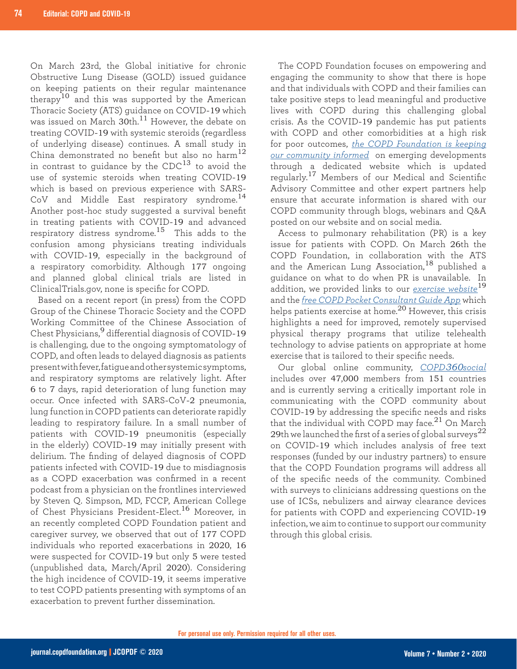On March 23rd, the Global initiative for chronic Obstructive Lung Disease (GOLD) issued guidance on keeping patients on their regular maintenance therapy<sup>10</sup> and this was supported by the American Thoracic Society (ATS) guidance on COVID-19 which was issued on March 30th.<sup>11</sup> However, the debate on treating COVID-19 with systemic steroids (regardless of underlying disease) continues. A small study in China demonstrated no benefit but also no harm $^{12}$ in contrast to quidance by the  $CDC^{13}$  to avoid the use of systemic steroids when treating COVID-19 which is based on previous experience with SARS-CoV and Middle East respiratory syndrome.<sup>14</sup> Another post-hoc study suggested a survival benefit in treating patients with COVID-19 and advanced respiratory distress syndrome.15 This adds to the confusion among physicians treating individuals with COVID-19, especially in the background of a respiratory comorbidity. Although 177 ongoing and planned global clinical trials are listed in ClinicalTrials.gov, none is specific for COPD.

Based on a recent report (in press) from the COPD Group of the Chinese Thoracic Society and the COPD Working Committee of the Chinese Association of Chest Physicians,<sup>9</sup> differential diagnosis of COVID-19 is challenging, due to the ongoing symptomatology of COPD, and often leads to delayed diagnosis as patients present with fever, fatigue and other systemic symptoms, and respiratory symptoms are relatively light. After 6 to 7 days, rapid deterioration of lung function may occur. Once infected with SARS-CoV-2 pneumonia, lung function in COPD patients can deteriorate rapidly leading to respiratory failure. In a small number of patients with COVID-19 pneumonitis (especially in the elderly) COVID-19 may initially present with delirium. The finding of delayed diagnosis of COPD patients infected with COVID-19 due to misdiagnosis as a COPD exacerbation was confirmed in a recent podcast from a physician on the frontlines interviewed by Steven Q. Simpson, MD, FCCP, American College of Chest Physicians President-Elect.<sup>16</sup> Moreover, in an recently completed COPD Foundation patient and caregiver survey, we observed that out of 177 COPD individuals who reported exacerbations in 2020, 16 were suspected for COVID-19 but only 5 were tested (unpublished data, March/April 2020). Considering the high incidence of COVID-19, it seems imperative to test COPD patients presenting with symptoms of an exacerbation to prevent further dissemination.

The COPD Foundation focuses on empowering and engaging the community to show that there is hope and that individuals with COPD and their families can take positive steps to lead meaningful and productive lives with COPD during this challenging global crisis. As the COVID-19 pandemic has put patients with COPD and other comorbidities at a high risk for poor outcomes, *[the COPD Foundation is keeping](https://www.copdfoundation.org/Learn-More/I-am-a-Person-with-COPD/Coronavirus-Information.aspx) [our community informed](https://www.copdfoundation.org/Learn-More/I-am-a-Person-with-COPD/Coronavirus-Information.aspx)* on emerging developments through a dedicated website which is updated regularly.<sup>17</sup> Members of our Medical and Scientific Advisory Committee and other expert partners help ensure that accurate information is shared with our COPD community through blogs, webinars and Q&A posted on our website and on social media.

Access to pulmonary rehabilitation (PR) is a key issue for patients with COPD. On March 26th the COPD Foundation, in collaboration with the ATS and the American Lung Association,<sup>18</sup> published a guidance on what to do when PR is unavailable. In addition, we provided links to our *[exercise website](https://www.copdfoundation.org/Learn-More/I-am-a-Person-with-COPD/Exercise.aspx)*<sup>19</sup> and the *[free COPD Pocket Consultant Guide App](https://www.copdfoundation.org/Learn-More/The-COPD-Pocket-Consultant-Guide/Patient-Caregiver-Track.aspx)* which helps patients exercise at home.<sup>20</sup> However, this crisis highlights a need for improved, remotely supervised physical therapy programs that utilize telehealth technology to advise patients on appropriate at home exercise that is tailored to their specific needs.

Our global online community, *[COPD](https://www.copdfoundation.org/COPD360social/Community/Activity-Feed.aspx)360social* includes over 47,000 members from 151 countries and is currently serving a critically important role in communicating with the COPD community about COVID-19 by addressing the specific needs and risks that the individual with COPD may face. $^{21}$  On March 29th we launched the first of a series of global surveys $^{22}$ on COVID-19 which includes analysis of free text responses (funded by our industry partners) to ensure that the COPD Foundation programs will address all of the specific needs of the community. Combined with surveys to clinicians addressing questions on the use of ICSs, nebulizers and airway clearance devices for patients with COPD and experiencing COVID-19 infection, we aim to continue to support our community through this global crisis.